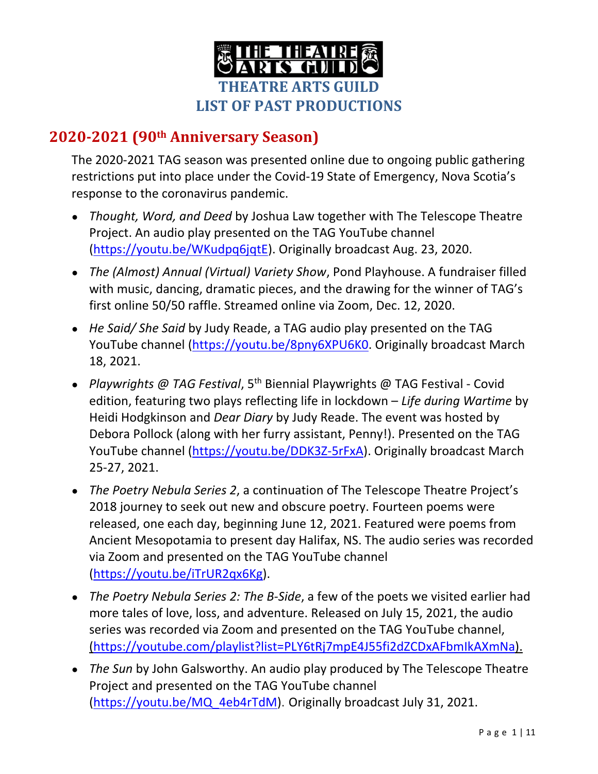

## **2020‐2021 (90th Anniversary Season)**

The 2020-2021 TAG season was presented online due to ongoing public gathering restrictions put into place under the Covid-19 State of Emergency, Nova Scotia's response to the coronavirus pandemic.

- *Thought, Word, and Deed* by Joshua Law together with The Telescope Theatre Project. An audio play presented on the TAG YouTube channel (https://youtu.be/WKudpq6jqtE). Originally broadcast Aug. 23, 2020.
- *The (Almost) Annual (Virtual) Variety Show*, Pond Playhouse. A fundraiser filled with music, dancing, dramatic pieces, and the drawing for the winner of TAG's first online 50/50 raffle. Streamed online via Zoom, Dec. 12, 2020.
- *He Said/ She Said* by Judy Reade, a TAG audio play presented on the TAG YouTube channel (https://youtu.be/8pny6XPU6K0. Originally broadcast March 18, 2021.
- *Playwrights @ TAG Festival*, 5th Biennial Playwrights @ TAG Festival Covid edition, featuring two plays reflecting life in lockdown – *Life during Wartime* by Heidi Hodgkinson and *Dear Diary* by Judy Reade. The event was hosted by Debora Pollock (along with her furry assistant, Penny!). Presented on the TAG YouTube channel (https://youtu.be/DDK3Z-5rFxA). Originally broadcast March 25-27, 2021.
- *The Poetry Nebula Series 2*, a continuation of The Telescope Theatre Project's 2018 journey to seek out new and obscure poetry. Fourteen poems were released, one each day, beginning June 12, 2021. Featured were poems from Ancient Mesopotamia to present day Halifax, NS. The audio series was recorded via Zoom and presented on the TAG YouTube channel (https://youtu.be/iTrUR2qx6Kg).
- *The Poetry Nebula Series 2: The B-Side*, a few of the poets we visited earlier had more tales of love, loss, and adventure. Released on July 15, 2021, the audio series was recorded via Zoom and presented on the TAG YouTube channel, (https://youtube.com/playlist?list=PLY6tRj7mpE4J55fi2dZCDxAFbmIkAXmNa).
- *The Sun* by John Galsworthy. An audio play produced by The Telescope Theatre Project and presented on the TAG YouTube channel (https://youtu.be/MQ\_4eb4rTdM). Originally broadcast July 31, 2021.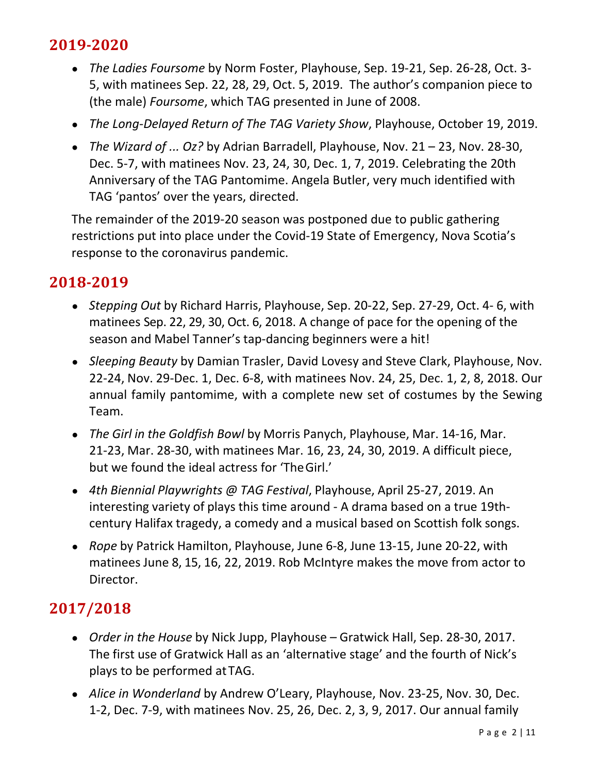# **2019‐2020**

- *The Ladies Foursome* by Norm Foster, Playhouse, Sep. 19-21, Sep. 26-28, Oct. 3- 5, with matinees Sep. 22, 28, 29, Oct. 5, 2019. The author's companion piece to (the male) *Foursome*, which TAG presented in June of 2008.
- *The Long-Delayed Return of The TAG Variety Show*, Playhouse, October 19, 2019.
- *The Wizard of ... Oz?* by Adrian Barradell, Playhouse, Nov. 21 23, Nov. 28-30, Dec. 5-7, with matinees Nov. 23, 24, 30, Dec. 1, 7, 2019. Celebrating the 20th Anniversary of the TAG Pantomime. Angela Butler, very much identified with TAG 'pantos' over the years, directed.

The remainder of the 2019-20 season was postponed due to public gathering restrictions put into place under the Covid-19 State of Emergency, Nova Scotia's response to the coronavirus pandemic.

### **2018‐2019**

- *Stepping Out* by Richard Harris, Playhouse, Sep. 20-22, Sep. 27-29, Oct. 4- 6, with matinees Sep. 22, 29, 30, Oct. 6, 2018. A change of pace for the opening of the season and Mabel Tanner's tap-dancing beginners were a hit!
- *Sleeping Beauty* by Damian Trasler, David Lovesy and Steve Clark, Playhouse, Nov. 22-24, Nov. 29-Dec. 1, Dec. 6-8, with matinees Nov. 24, 25, Dec. 1, 2, 8, 2018. Our annual family pantomime, with a complete new set of costumes by the Sewing Team.
- *● The Girl in the Goldfish Bowl* by Morris Panych, Playhouse, Mar. 14-16, Mar. 21-23, Mar. 28-30, with matinees Mar. 16, 23, 24, 30, 2019. A difficult piece, but we found the ideal actress for 'The Girl.'
- *4th Biennial Playwrights @ TAG Festival*, Playhouse, April 25-27, 2019. An interesting variety of plays this time around - A drama based on a true 19thcentury Halifax tragedy, a comedy and a musical based on Scottish folk songs.
- *Rope* by Patrick Hamilton, Playhouse, June 6-8, June 13-15, June 20-22, with matinees June 8, 15, 16, 22, 2019. Rob McIntyre makes the move from actor to Director.

- *Order in the House* by Nick Jupp, Playhouse Gratwick Hall, Sep. 28-30, 2017. The first use of Gratwick Hall as an 'alternative stage' and the fourth of Nick's plays to be performed at TAG.
- *Alice in Wonderland* by Andrew O'Leary, Playhouse, Nov. 23-25, Nov. 30, Dec. 1-2, Dec. 7-9, with matinees Nov. 25, 26, Dec. 2, 3, 9, 2017. Our annual family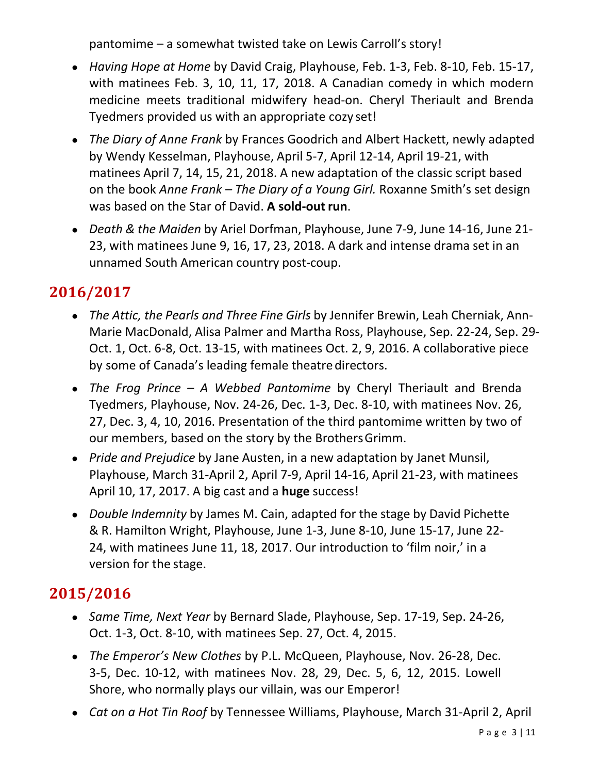pantomime – a somewhat twisted take on Lewis Carroll's story!

- *Having Hope at Home* by David Craig, Playhouse, Feb. 1-3, Feb. 8-10, Feb. 15-17, with matinees Feb. 3, 10, 11, 17, 2018. A Canadian comedy in which modern medicine meets traditional midwifery head-on. Cheryl Theriault and Brenda Tyedmers provided us with an appropriate cozy set!
- *The Diary of Anne Frank* by Frances Goodrich and Albert Hackett, newly adapted by Wendy Kesselman, Playhouse, April 5-7, April 12-14, April 19-21, with matinees April 7, 14, 15, 21, 2018. A new adaptation of the classic script based on the book *Anne Frank – The Diary of a Young Girl.* Roxanne Smith's set design was based on the Star of David. **A sold-out run**.
- *Death & the Maiden* by Ariel Dorfman, Playhouse, June 7-9, June 14-16, June 21- 23, with matinees June 9, 16, 17, 23, 2018. A dark and intense drama set in an unnamed South American country post-coup.

# **2016/2017**

- *● The Attic, the Pearls and Three Fine Girls* by Jennifer Brewin, Leah Cherniak, Ann-Marie MacDonald, Alisa Palmer and Martha Ross, Playhouse, Sep. 22-24, Sep. 29- Oct. 1, Oct. 6-8, Oct. 13-15, with matinees Oct. 2, 9, 2016. A collaborative piece by some of Canada's leading female theatre directors.
- *The Frog Prince A Webbed Pantomime* by Cheryl Theriault and Brenda Tyedmers, Playhouse, Nov. 24-26, Dec. 1-3, Dec. 8-10, with matinees Nov. 26, 27, Dec. 3, 4, 10, 2016. Presentation of the third pantomime written by two of our members, based on the story by the Brothers Grimm.
- *Pride and Prejudice* by Jane Austen, in a new adaptation by Janet Munsil, Playhouse, March 31-April 2, April 7-9, April 14-16, April 21-23, with matinees April 10, 17, 2017. A big cast and a **huge** success!
- *Double Indemnity* by James M. Cain, adapted for the stage by David Pichette & R. Hamilton Wright, Playhouse, June 1-3, June 8-10, June 15-17, June 22- 24, with matinees June 11, 18, 2017. Our introduction to 'film noir,' in a version for the stage.

- *● Same Time, Next Year* by Bernard Slade, Playhouse, Sep. 17-19, Sep. 24-26, Oct. 1-3, Oct. 8-10, with matinees Sep. 27, Oct. 4, 2015.
- *● The Emperor's New Clothes* by P.L. McQueen, Playhouse, Nov. 26-28, Dec. 3-5, Dec. 10-12, with matinees Nov. 28, 29, Dec. 5, 6, 12, 2015. Lowell Shore, who normally plays our villain, was our Emperor!
- *● Cat on a Hot Tin Roof* by Tennessee Williams, Playhouse, March 31-April 2, April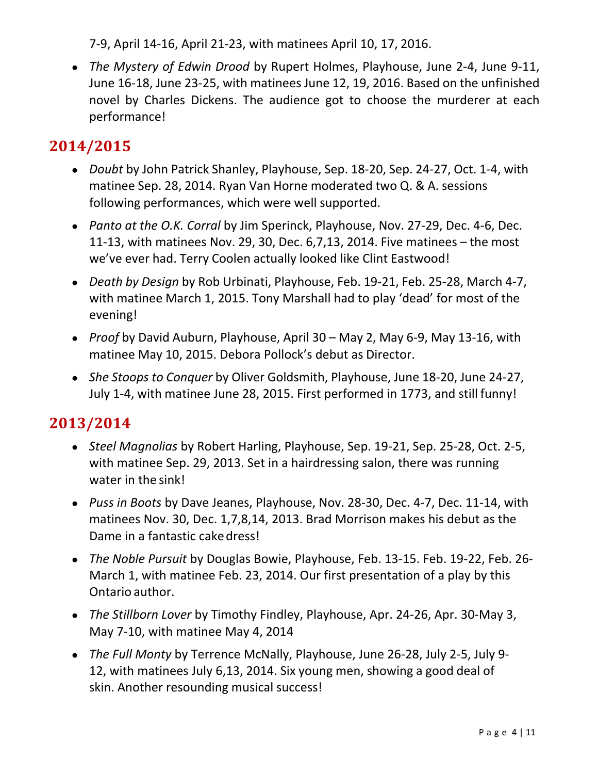7-9, April 14-16, April 21-23, with matinees April 10, 17, 2016.

*● The Mystery of Edwin Drood* by Rupert Holmes, Playhouse, June 2-4, June 9-11, June 16-18, June 23-25, with matinees June 12, 19, 2016. Based on the unfinished novel by Charles Dickens. The audience got to choose the murderer at each performance!

# **2014/2015**

- *● Doubt* by John Patrick Shanley, Playhouse, Sep. 18-20, Sep. 24-27, Oct. 1-4, with matinee Sep. 28, 2014. Ryan Van Horne moderated two Q. & A. sessions following performances, which were well supported.
- *● Panto at the O.K. Corral* by Jim Sperinck, Playhouse, Nov. 27-29, Dec. 4-6, Dec. 11-13, with matinees Nov. 29, 30, Dec. 6,7,13, 2014. Five matinees – the most we've ever had. Terry Coolen actually looked like Clint Eastwood!
- *● Death by Design* by Rob Urbinati, Playhouse, Feb. 19-21, Feb. 25-28, March 4-7, with matinee March 1, 2015. Tony Marshall had to play 'dead' for most of the evening!
- *● Proof* by David Auburn, Playhouse, April 30 May 2, May 6-9, May 13-16, with matinee May 10, 2015. Debora Pollock's debut as Director.
- *● She Stoops to Conquer* by Oliver Goldsmith, Playhouse, June 18-20, June 24-27, July 1-4, with matinee June 28, 2015. First performed in 1773, and still funny!

- *Steel Magnolias* by Robert Harling, Playhouse, Sep. 19-21, Sep. 25-28, Oct. 2-5, with matinee Sep. 29, 2013. Set in a hairdressing salon, there was running water in the sink!
- *Puss in Boots* by Dave Jeanes, Playhouse, Nov. 28-30, Dec. 4-7, Dec. 11-14, with matinees Nov. 30, Dec. 1,7,8,14, 2013. Brad Morrison makes his debut as the Dame in a fantastic cake dress!
- *The Noble Pursuit* by Douglas Bowie, Playhouse, Feb. 13-15. Feb. 19-22, Feb. 26- March 1, with matinee Feb. 23, 2014. Our first presentation of a play by this Ontario author.
- *The Stillborn Lover* by Timothy Findley, Playhouse, Apr. 24-26, Apr. 30-May 3, May 7-10, with matinee May 4, 2014
- *The Full Monty* by Terrence McNally, Playhouse, June 26-28, July 2-5, July 9- 12, with matinees July 6,13, 2014. Six young men, showing a good deal of skin. Another resounding musical success!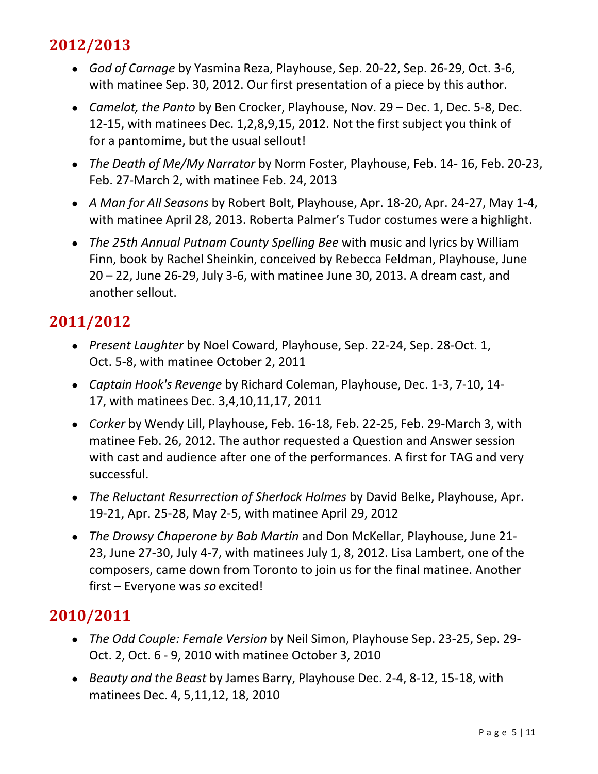- *God of Carnage* by Yasmina Reza, Playhouse, Sep. 20-22, Sep. 26-29, Oct. 3-6, with matinee Sep. 30, 2012. Our first presentation of a piece by this author.
- *Camelot, the Panto* by Ben Crocker, Playhouse, Nov. 29 Dec. 1, Dec. 5-8, Dec. 12-15, with matinees Dec. 1,2,8,9,15, 2012. Not the first subject you think of for a pantomime, but the usual sellout!
- *The Death of Me/My Narrator* by Norm Foster, Playhouse, Feb. 14- 16, Feb. 20-23, Feb. 27-March 2, with matinee Feb. 24, 2013
- *A Man for All Seasons* by Robert Bolt, Playhouse, Apr. 18-20, Apr. 24-27, May 1-4, with matinee April 28, 2013. Roberta Palmer's Tudor costumes were a highlight.
- *The 25th Annual Putnam County Spelling Bee* with music and lyrics by William Finn, book by Rachel Sheinkin, conceived by Rebecca Feldman, Playhouse, June 20 – 22, June 26-29, July 3-6, with matinee June 30, 2013. A dream cast, and another sellout.

## **2011/2012**

- *Present Laughter* by Noel Coward, Playhouse, Sep. 22-24, Sep. 28-Oct. 1, Oct. 5-8, with matinee October 2, 2011
- *Captain Hook's Revenge* by Richard Coleman, Playhouse, Dec. 1-3, 7-10, 14- 17, with matinees Dec. 3,4,10,11,17, 2011
- *Corker* by Wendy Lill, Playhouse, Feb. 16-18, Feb. 22-25, Feb. 29-March 3, with matinee Feb. 26, 2012. The author requested a Question and Answer session with cast and audience after one of the performances. A first for TAG and very successful.
- *The Reluctant Resurrection of Sherlock Holmes* by David Belke, Playhouse, Apr. 19-21, Apr. 25-28, May 2-5, with matinee April 29, 2012
- *The Drowsy Chaperone by Bob Martin* and Don McKellar, Playhouse, June 21- 23, June 27-30, July 4-7, with matinees July 1, 8, 2012. Lisa Lambert, one of the composers, came down from Toronto to join us for the final matinee. Another first – Everyone was *so* excited!

- *The Odd Couple: Female Version* by Neil Simon, Playhouse Sep. 23-25, Sep. 29- Oct. 2, Oct. 6 - 9, 2010 with matinee October 3, 2010
- *Beauty and the Beast* by James Barry, Playhouse Dec. 2-4, 8-12, 15-18, with matinees Dec. 4, 5,11,12, 18, 2010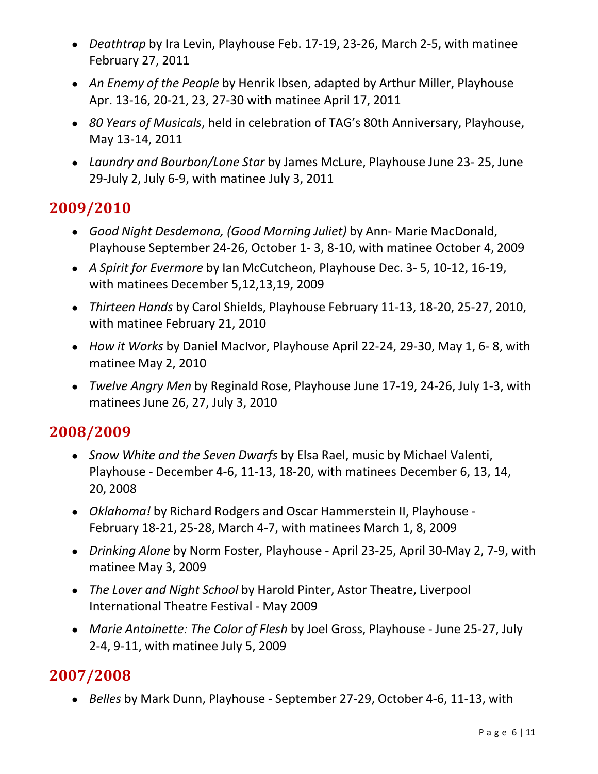- *Deathtrap* by Ira Levin, Playhouse Feb. 17-19, 23-26, March 2-5, with matinee February 27, 2011
- *An Enemy of the People* by Henrik Ibsen, adapted by Arthur Miller, Playhouse Apr. 13-16, 20-21, 23, 27-30 with matinee April 17, 2011
- *80 Years of Musicals*, held in celebration of TAG's 80th Anniversary, Playhouse, May 13-14, 2011
- *Laundry and Bourbon/Lone Star* by James McLure, Playhouse June 23- 25, June 29-July 2, July 6-9, with matinee July 3, 2011

- *Good Night Desdemona, (Good Morning Juliet)* by Ann- Marie MacDonald, Playhouse September 24-26, October 1- 3, 8-10, with matinee October 4, 2009
- *A Spirit for Evermore* by Ian McCutcheon, Playhouse Dec. 3- 5, 10-12, 16-19, with matinees December 5,12,13,19, 2009
- *Thirteen Hands* by Carol Shields, Playhouse February 11-13, 18-20, 25-27, 2010, with matinee February 21, 2010
- *How it Works* by Daniel MacIvor, Playhouse April 22-24, 29-30, May 1, 6- 8, with matinee May 2, 2010
- *Twelve Angry Men* by Reginald Rose, Playhouse June 17-19, 24-26, July 1-3, with matinees June 26, 27, July 3, 2010

## **2008/2009**

- *Snow White and the Seven Dwarfs* by Elsa Rael, music by Michael Valenti, Playhouse - December 4-6, 11-13, 18-20, with matinees December 6, 13, 14, 20, 2008
- *Oklahoma!* by Richard Rodgers and Oscar Hammerstein II, Playhouse February 18-21, 25-28, March 4-7, with matinees March 1, 8, 2009
- *Drinking Alone* by Norm Foster, Playhouse April 23-25, April 30-May 2, 7-9, with matinee May 3, 2009
- *The Lover and Night School* by Harold Pinter, Astor Theatre, Liverpool International Theatre Festival - May 2009
- *Marie Antoinette: The Color of Flesh* by Joel Gross, Playhouse June 25-27, July 2-4, 9-11, with matinee July 5, 2009

## **2007/2008**

● *Belles* by Mark Dunn, Playhouse - September 27-29, October 4-6, 11-13, with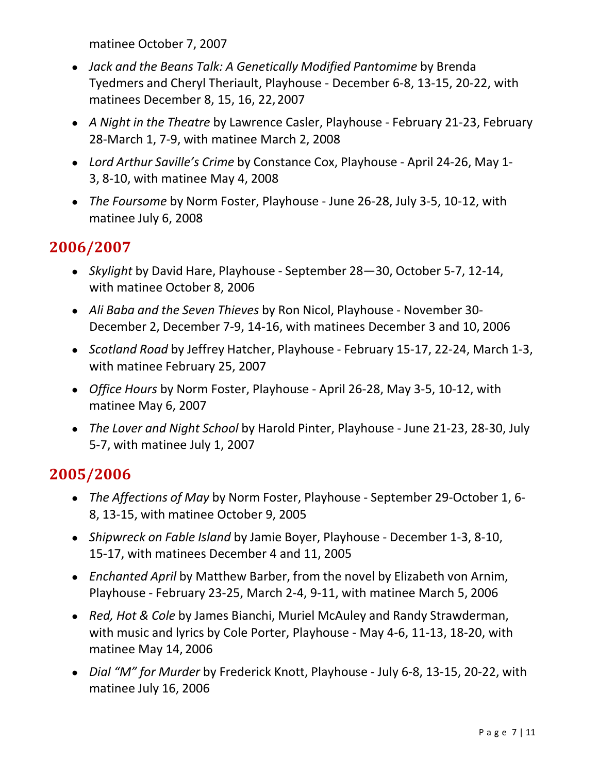matinee October 7, 2007

- *Jack and the Beans Talk: A Genetically Modified Pantomime* by Brenda Tyedmers and Cheryl Theriault, Playhouse - December 6-8, 13-15, 20-22, with matinees December 8, 15, 16, 22, 2007
- *A Night in the Theatre* by Lawrence Casler, Playhouse February 21-23, February 28-March 1, 7-9, with matinee March 2, 2008
- *Lord Arthur Saville's Crime* by Constance Cox, Playhouse April 24-26, May 1- 3, 8-10, with matinee May 4, 2008
- *The Foursome* by Norm Foster, Playhouse June 26-28, July 3-5, 10-12, with matinee July 6, 2008

### **2006/2007**

- *Skylight* by David Hare, Playhouse September 28—30, October 5-7, 12-14, with matinee October 8, 2006
- *Ali Baba and the Seven Thieves* by Ron Nicol, Playhouse November 30- December 2, December 7-9, 14-16, with matinees December 3 and 10, 2006
- *Scotland Road* by Jeffrey Hatcher, Playhouse February 15-17, 22-24, March 1-3, with matinee February 25, 2007
- *Office Hours* by Norm Foster, Playhouse April 26-28, May 3-5, 10-12, with matinee May 6, 2007
- *The Lover and Night School* by Harold Pinter, Playhouse June 21-23, 28-30, July 5-7, with matinee July 1, 2007

- *The Affections of May* by Norm Foster, Playhouse September 29-October 1, 6- 8, 13-15, with matinee October 9, 2005
- *Shipwreck on Fable Island* by Jamie Boyer, Playhouse December 1-3, 8-10, 15-17, with matinees December 4 and 11, 2005
- *Enchanted April* by Matthew Barber, from the novel by Elizabeth von Arnim, Playhouse - February 23-25, March 2-4, 9-11, with matinee March 5, 2006
- *Red, Hot & Cole* by James Bianchi, Muriel McAuley and Randy Strawderman, with music and lyrics by Cole Porter, Playhouse - May 4-6, 11-13, 18-20, with matinee May 14, 2006
- *Dial "M" for Murder* by Frederick Knott, Playhouse July 6-8, 13-15, 20-22, with matinee July 16, 2006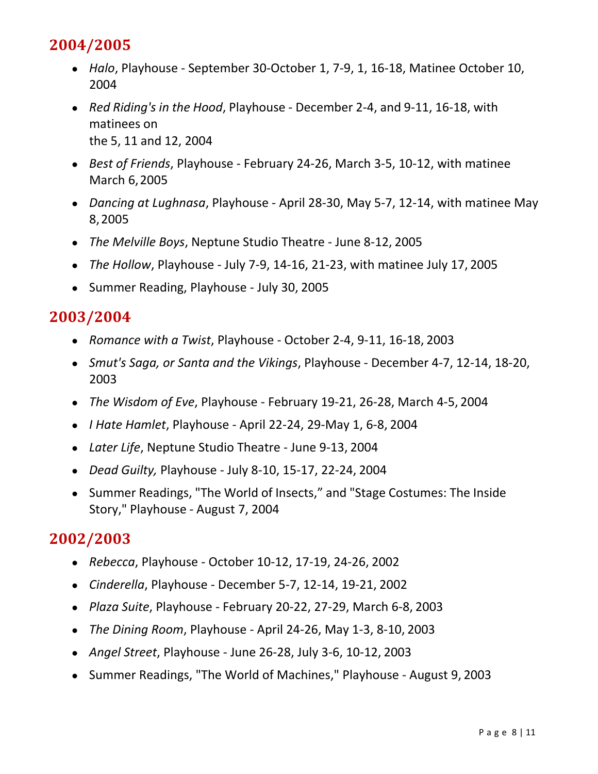- *Halo*, Playhouse September 30-October 1, 7-9, 1, 16-18, Matinee October 10, 2004
- *Red Riding's in the Hood*, Playhouse December 2-4, and 9-11, 16-18, with matinees on the 5, 11 and 12, 2004
- *Best of Friends*, Playhouse February 24-26, March 3-5, 10-12, with matinee March 6, 2005
- *Dancing at Lughnasa*, Playhouse April 28-30, May 5-7, 12-14, with matinee May 8, 2005
- *The Melville Boys*, Neptune Studio Theatre June 8-12, 2005
- *The Hollow*, Playhouse July 7-9, 14-16, 21-23, with matinee July 17, 2005
- Summer Reading, Playhouse July 30, 2005

### **2003/2004**

- *Romance with a Twist*, Playhouse October 2-4, 9-11, 16-18, 2003
- *Smut's Saga, or Santa and the Vikings*, Playhouse December 4-7, 12-14, 18-20, 2003
- *The Wisdom of Eve*, Playhouse February 19-21, 26-28, March 4-5, 2004
- *I Hate Hamlet*, Playhouse April 22-24, 29-May 1, 6-8, 2004
- *Later Life*, Neptune Studio Theatre June 9-13, 2004
- *Dead Guilty,* Playhouse July 8-10, 15-17, 22-24, 2004
- Summer Readings, "The World of Insects," and "Stage Costumes: The Inside Story," Playhouse - August 7, 2004

- *Rebecca*, Playhouse October 10-12, 17-19, 24-26, 2002
- *Cinderella*, Playhouse December 5-7, 12-14, 19-21, 2002
- *Plaza Suite*, Playhouse February 20-22, 27-29, March 6-8, 2003
- *The Dining Room*, Playhouse April 24-26, May 1-3, 8-10, 2003
- *Angel Street*, Playhouse June 26-28, July 3-6, 10-12, 2003
- Summer Readings, "The World of Machines," Playhouse August 9, 2003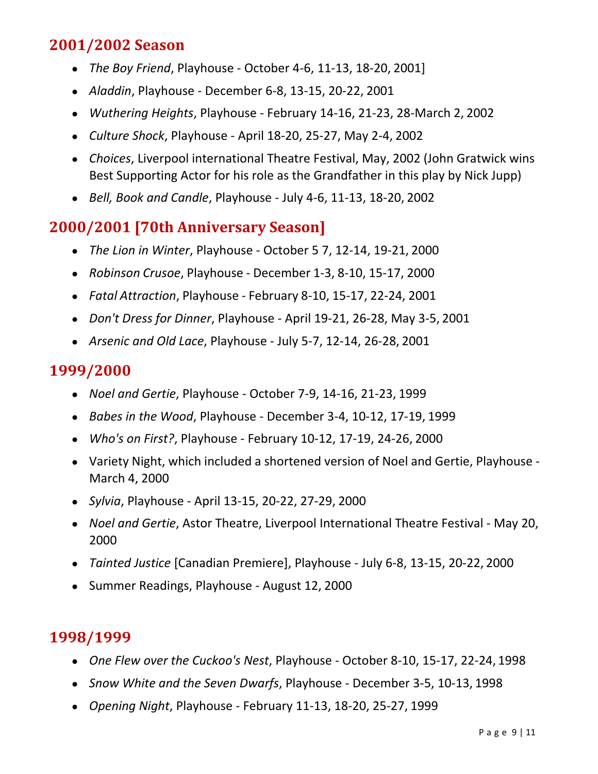## **2001/2002 Season**

- *The Boy Friend*, Playhouse October 4-6, 11-13, 18-20, 2001]
- *Aladdin*, Playhouse December 6-8, 13-15, 20-22, 2001
- *Wuthering Heights*, Playhouse February 14-16, 21-23, 28-March 2, 2002
- *Culture Shock*, Playhouse April 18-20, 25-27, May 2-4, 2002
- *Choices*, Liverpool international Theatre Festival, May, 2002 (John Gratwick wins Best Supporting Actor for his role as the Grandfather in this play by Nick Jupp)
- *Bell, Book and Candle*, Playhouse July 4-6, 11-13, 18-20, 2002

### **2000/2001 [70th Anniversary Season]**

- *The Lion in Winter*, Playhouse October 5 7, 12-14, 19-21, 2000
- *Robinson Crusoe*, Playhouse December 1-3, 8-10, 15-17, 2000
- *Fatal Attraction*, Playhouse February 8-10, 15-17, 22-24, 2001
- *Don't Dress for Dinner*, Playhouse April 19-21, 26-28, May 3-5, 2001
- *Arsenic and Old Lace*, Playhouse July 5-7, 12-14, 26-28, 2001

#### **1999/2000**

- *Noel and Gertie*, Playhouse October 7-9, 14-16, 21-23, 1999
- *Babes in the Wood*, Playhouse December 3-4, 10-12, 17-19, 1999
- *Who's on First?*, Playhouse February 10-12, 17-19, 24-26, 2000
- Variety Night, which included a shortened version of Noel and Gertie, Playhouse March 4, 2000
- *Sylvia*, Playhouse April 13-15, 20-22, 27-29, 2000
- *Noel and Gertie*, Astor Theatre, Liverpool International Theatre Festival May 20, 2000
- *Tainted Justice* [Canadian Premiere], Playhouse July 6-8, 13-15, 20-22, 2000
- Summer Readings, Playhouse August 12, 2000

- *One Flew over the Cuckoo's Nest*, Playhouse October 8-10, 15-17, 22-24, 1998
- *Snow White and the Seven Dwarfs*, Playhouse December 3-5, 10-13, 1998
- *Opening Night*, Playhouse February 11-13, 18-20, 25-27, 1999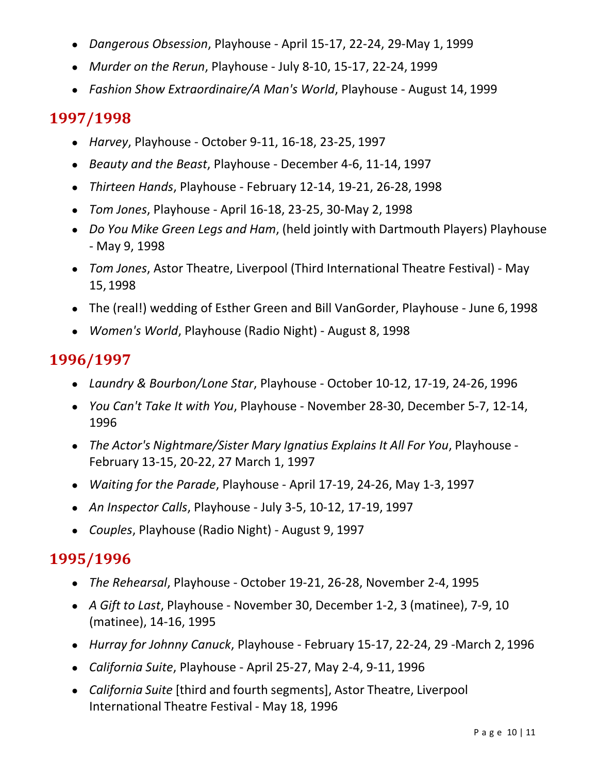- *Dangerous Obsession*, Playhouse April 15-17, 22-24, 29-May 1, 1999
- *Murder on the Rerun*, Playhouse July 8-10, 15-17, 22-24, 1999
- *Fashion Show Extraordinaire/A Man's World*, Playhouse August 14, 1999

- *Harvey*, Playhouse October 9-11, 16-18, 23-25, 1997
- *Beauty and the Beast*, Playhouse December 4-6, 11-14, 1997
- *Thirteen Hands*, Playhouse February 12-14, 19-21, 26-28, 1998
- *Tom Jones*, Playhouse April 16-18, 23-25, 30-May 2, 1998
- *Do You Mike Green Legs and Ham*, (held jointly with Dartmouth Players) Playhouse - May 9, 1998
- *Tom Jones*, Astor Theatre, Liverpool (Third International Theatre Festival) May 15, 1998
- The (real!) wedding of Esther Green and Bill VanGorder, Playhouse June 6, 1998
- *Women's World*, Playhouse (Radio Night) August 8, 1998

### **1996/1997**

- *Laundry & Bourbon/Lone Star*, Playhouse October 10-12, 17-19, 24-26, 1996
- *You Can't Take It with You*, Playhouse November 28-30, December 5-7, 12-14, 1996
- *The Actor's Nightmare/Sister Mary Ignatius Explains It All For You*, Playhouse February 13-15, 20-22, 27 March 1, 1997
- *Waiting for the Parade*, Playhouse April 17-19, 24-26, May 1-3, 1997
- *An Inspector Calls*, Playhouse July 3-5, 10-12, 17-19, 1997
- *Couples*, Playhouse (Radio Night) August 9, 1997

- *The Rehearsal*, Playhouse October 19-21, 26-28, November 2-4, 1995
- *A Gift to Last*, Playhouse November 30, December 1-2, 3 (matinee), 7-9, 10 (matinee), 14-16, 1995
- *Hurray for Johnny Canuck*, Playhouse February 15-17, 22-24, 29 -March 2, 1996
- *California Suite*, Playhouse April 25-27, May 2-4, 9-11, 1996
- *California Suite* [third and fourth segments], Astor Theatre, Liverpool International Theatre Festival - May 18, 1996